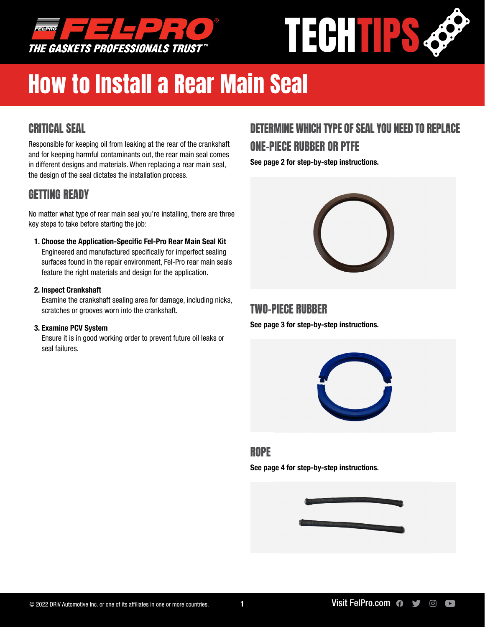



# How to Install a Rear Main Seal

## CRITICAL SEAL

Responsible for keeping oil from leaking at the rear of the crankshaft and for keeping harmful contaminants out, the rear main seal comes in different designs and materials. When replacing a rear main seal, the design of the seal dictates the installation process.

### GETTING READY

No matter what type of rear main seal you're installing, there are three key steps to take before starting the job:

 1. Choose the Application-Specific Fel-Pro Rear Main Seal Kit Engineered and manufactured specifically for imperfect sealing surfaces found in the repair environment, Fel-Pro rear main seals feature the right materials and design for the application.

### 2. Inspect Crankshaft

Examine the crankshaft sealing area for damage, including nicks, scratches or grooves worn into the crankshaft.

### 3. Examine PCV System

Ensure it is in good working order to prevent future oil leaks or seal failures.

# ONE-PIECE RUBBER OR PTFE DETERMINE WHICH TYPE OF SEAL YOU NEED TO REPLACE

See page 2 for step-by-step instructions.



### TWO-PIECE RUBBER

See page 3 for step-by-step instructions.



### ROPE

See page 4 for step-by-step instructions.

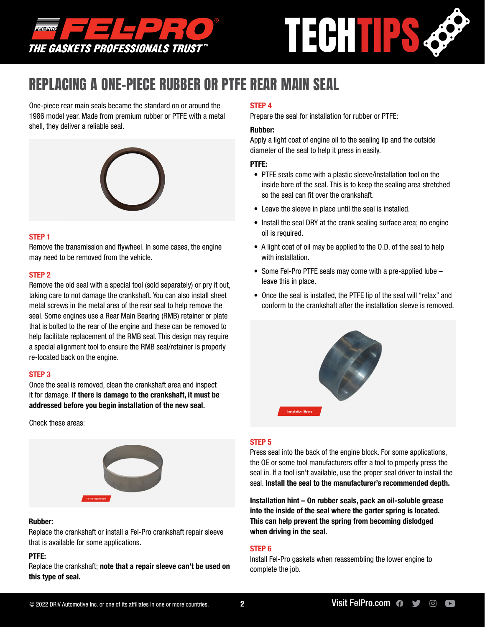



# REPLACING A ONE-PIECE RUBBER OR PTFE REAR MAIN SEAL

One-piece rear main seals became the standard on or around the 1986 model year. Made from premium rubber or PTFE with a metal shell, they deliver a reliable seal.



### STEP 1

Remove the transmission and flywheel. In some cases, the engine may need to be removed from the vehicle.

### STEP 2

Remove the old seal with a special tool (sold separately) or pry it out, taking care to not damage the crankshaft. You can also install sheet metal screws in the metal area of the rear seal to help remove the seal. Some engines use a Rear Main Bearing (RMB) retainer or plate that is bolted to the rear of the engine and these can be removed to help facilitate replacement of the RMB seal. This design may require a special alignment tool to ensure the RMB seal/retainer is properly re-located back on the engine.

#### STEP 3

Once the seal is removed, clean the crankshaft area and inspect it for damage. If there is damage to the crankshaft, it must be addressed before you begin installation of the new seal.

Check these areas:



### Rubber:

Replace the crankshaft or install a Fel-Pro crankshaft repair sleeve that is available for some applications.

### PTFE:

Replace the crankshaft; note that a repair sleeve can't be used on this type of seal.

### STEP 4

Prepare the seal for installation for rubber or PTFE:

### Rubber:

Apply a light coat of engine oil to the sealing lip and the outside diameter of the seal to help it press in easily.

### PTFE:

- PTFE seals come with a plastic sleeve/installation tool on the inside bore of the seal. This is to keep the sealing area stretched so the seal can fit over the crankshaft.
- Leave the sleeve in place until the seal is installed.
- Install the seal DRY at the crank sealing surface area; no engine oil is required.
- A light coat of oil may be applied to the O.D. of the seal to help with installation.
- Some Fel-Pro PTFE seals may come with a pre-applied lube leave this in place.
- Once the seal is installed, the PTFE lip of the seal will "relax" and conform to the crankshaft after the installation sleeve is removed.



### STEP 5

Press seal into the back of the engine block. For some applications, the OE or some tool manufacturers offer a tool to properly press the seal in. If a tool isn't available, use the proper seal driver to install the seal. Install the seal to the manufacturer's recommended depth.

Installation hint – On rubber seals, pack an oil-soluble grease into the inside of the seal where the garter spring is located. This can help prevent the spring from becoming dislodged when driving in the seal.

### STEP 6

Install Fel-Pro gaskets when reassembling the lower engine to complete the job.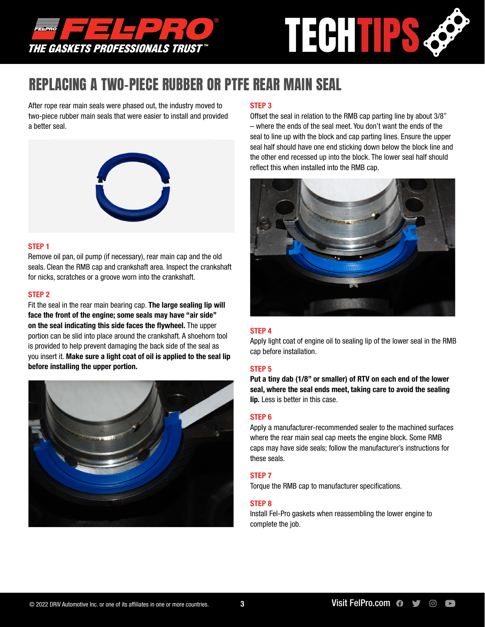



# REPLACING A TWO-PIECE RUBBER OR PTFE REAR MAIN SEAL

After rope rear main seals were phased out, the industry moved to two-piece rubber main seals that were easier to install and provided a better seal.



### STEP 1

Remove oil pan, oil pump (if necessary), rear main cap and the old seals. Clean the RMB cap and crankshaft area. Inspect the crankshaft for nicks, scratches or a groove worn into the crankshaft.

### STEP 2

Fit the seal in the rear main bearing cap. The large sealing lip will face the front of the engine; some seals may have "air side" on the seal indicating this side faces the flywheel. The upper portion can be slid into place around the crankshaft. A shoehorn tool is provided to help prevent damaging the back side of the seal as you insert it. Make sure a light coat of oil is applied to the seal lip before installing the upper portion.



### STEP 3

Offset the seal in relation to the RMB cap parting line by about 3/8" – where the ends of the seal meet. You don't want the ends of the seal to line up with the block and cap parting lines. Ensure the upper seal half should have one end sticking down below the block line and the other end recessed up into the block. The lower seal half should reflect this when installed into the RMB cap.



### STEP 4

Apply light coat of engine oil to sealing lip of the lower seal in the RMB cap before installation.

### STEP 5

Put a tiny dab (1/8" or smaller) of RTV on each end of the lower seal, where the seal ends meet, taking care to avoid the sealing lip. Less is better in this case.

### STEP 6

Apply a manufacturer-recommended sealer to the machined surfaces where the rear main seal cap meets the engine block. Some RMB caps may have side seals; follow the manufacturer's instructions for these seals.

### STEP 7

Torque the RMB cap to manufacturer specifications.

#### STEP 8

Install Fel-Pro gaskets when reassembling the lower engine to complete the job.